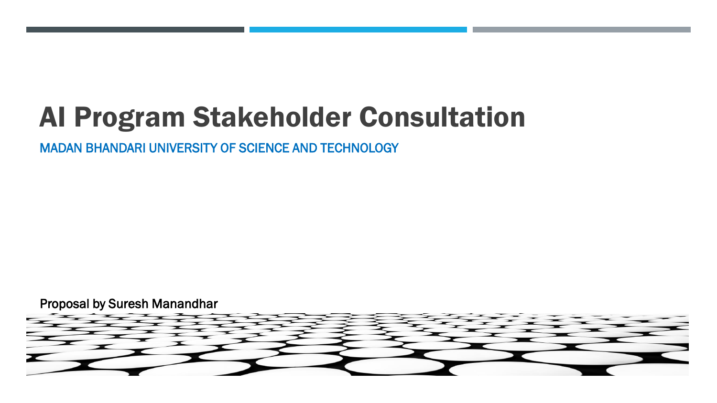# AI Program Stakeholder Consultation

MADAN BHANDARI UNIVERSITY OF SCIENCE AND TECHNOLOGY

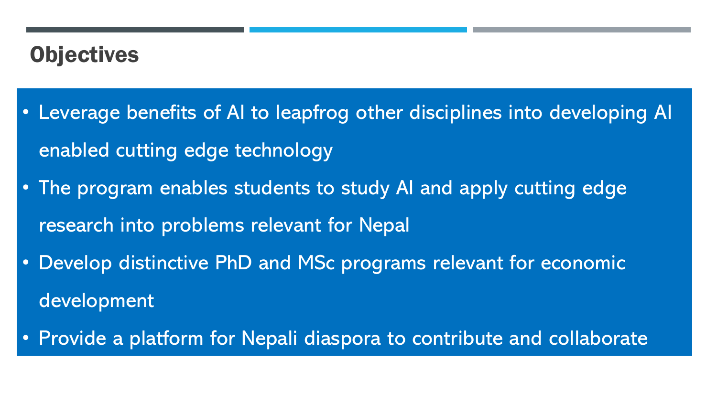### **Objectives**

- Leverage benefits of AI to leapfrog other disciplines into developing AI enabled cutting edge technology
- The program enables students to study AI and apply cutting edge research into problems relevant for Nepal
- Develop distinctive PhD and MSc programs relevant for economic development
- Provide a platform for Nepali diaspora to contribute and collaborate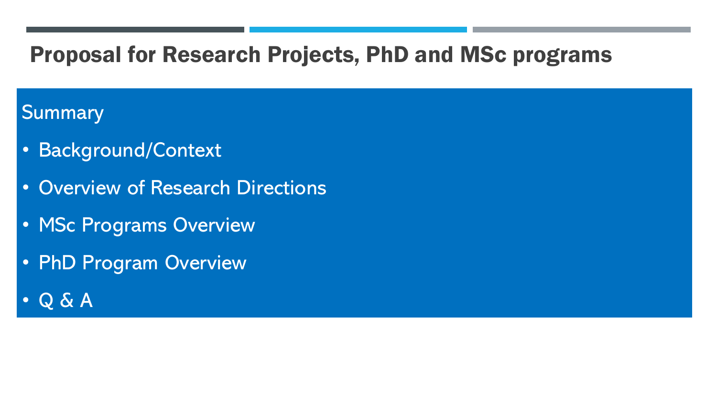### Proposal for Research Projects, PhD and MSc programs

### Summary

- Background/Context
- Overview of Research Directions
- MSc Programs Overview
- PhD Program Overview
- Q & A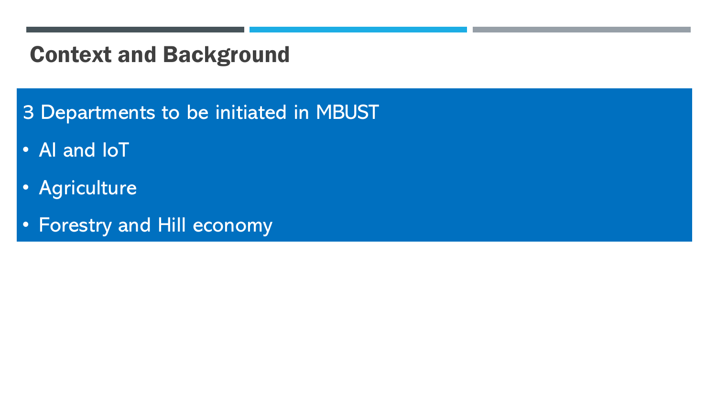### Context and Background

- 3 Departments to be initiated in MBUST
- AI and IoT
- Agriculture
- Forestry and Hill economy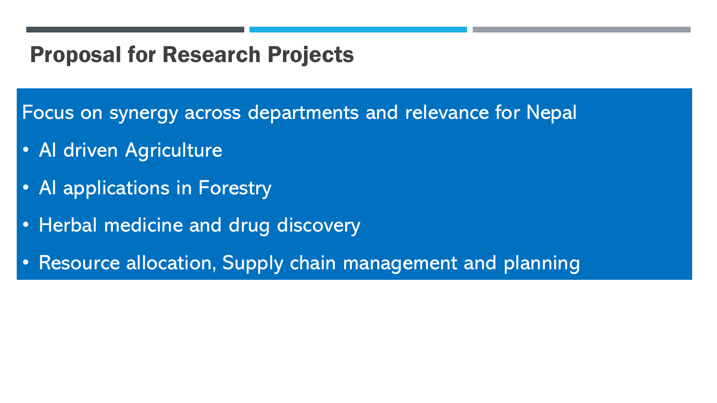### Proposal for Research Projects

Focus on synergy across departments and relevance for Nepal

- AI driven Agriculture
- AI applications in Forestry
- Herbal medicine and drug discovery
- Resource allocation, Supply chain management and planning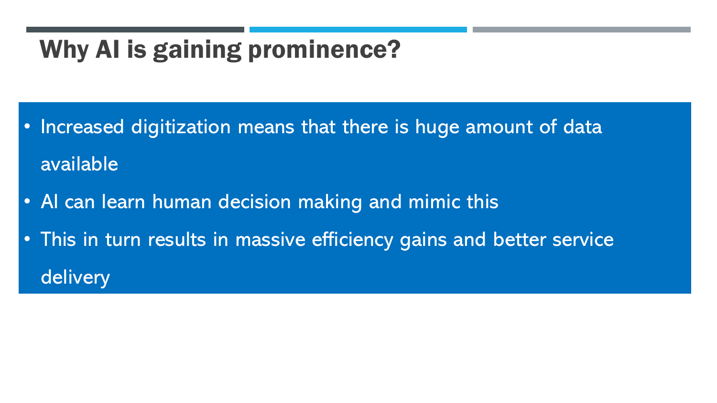### Why AI is gaining prominence?

- Increased digitization means that there is huge amount of data available
- AI can learn human decision making and mimic this
- This in turn results in massive efficiency gains and better service delivery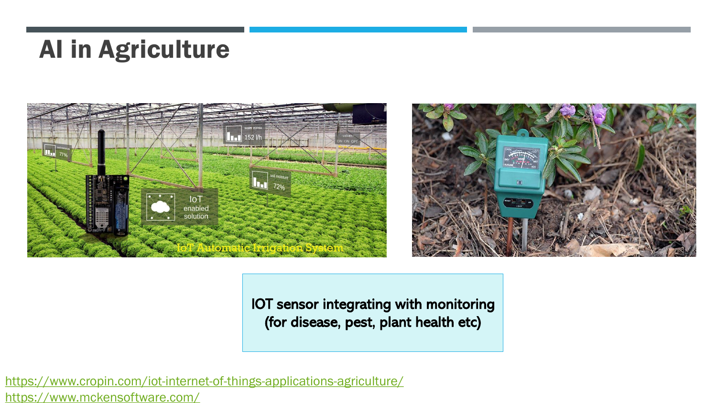### AI in Agriculture





IOT sensor integrating with monitoring (for disease, pest, plant health etc)

<https://www.cropin.com/iot-internet-of-things-applications-agriculture/> <https://www.mckensoftware.com/>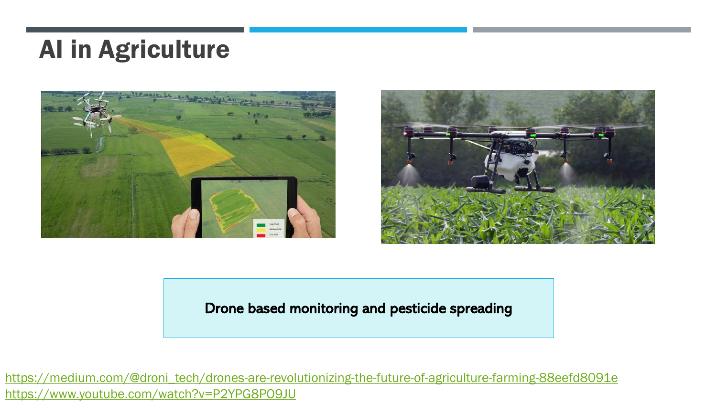### AI in Agriculture





#### Drone based monitoring and pesticide spreading

[https://medium.com/@droni\\_tech/drones-are-revolutionizing-the-future-of-agriculture-farming-88eefd8091e](https://medium.com/@droni_tech/drones-are-revolutionizing-the-future-of-agriculture-farming-88eefd8091e) <https://www.youtube.com/watch?v=P2YPG8PO9JU>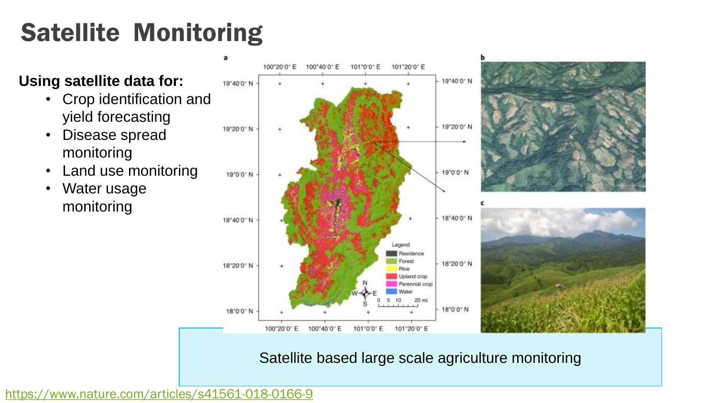# Satellite Monitoring

#### **Using satellite data for:**

- Crop identification and yield forecasting
- Disease spread monitoring
- Land use monitoring
- Water usage monitoring



Satellite based large scale agriculture monitoring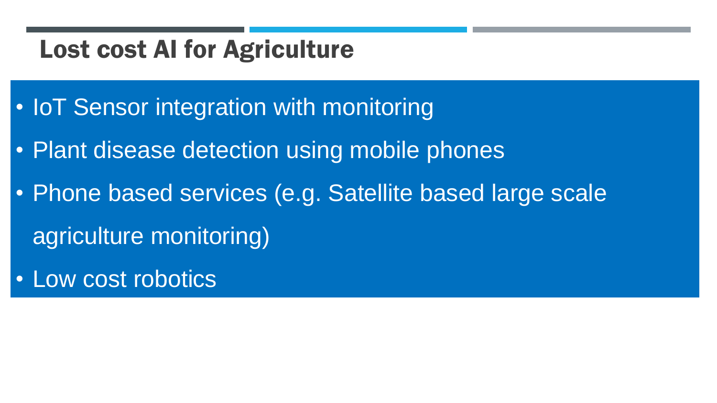### Lost cost AI for Agriculture

- IoT Sensor integration with monitoring
- Plant disease detection using mobile phones
- Phone based services (e.g. Satellite based large scale agriculture monitoring)
- Low cost robotics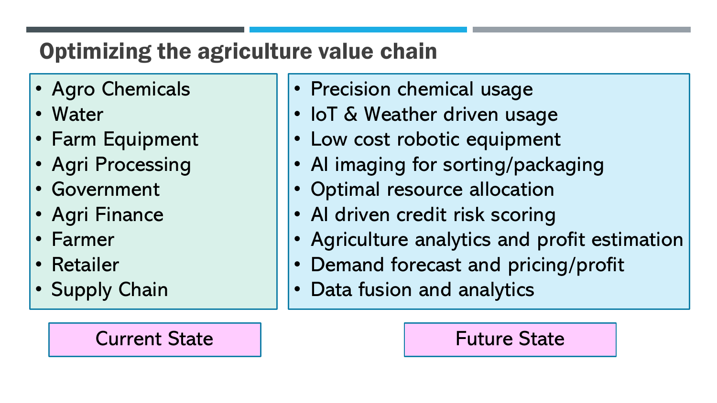### Optimizing the agriculture value chain

- Agro Chemicals
- Water
- Farm Equipment
- Agri Processing
- Government
- Agri Finance
- Farmer
- Retailer
- Supply Chain

### Current State The Research Current State

- Precision chemical usage
- IoT & Weather driven usage
- Low cost robotic equipment
- AI imaging for sorting/packaging
- Optimal resource allocation
- AI driven credit risk scoring
- Agriculture analytics and profit estimation
- Demand forecast and pricing/profit
- Data fusion and analytics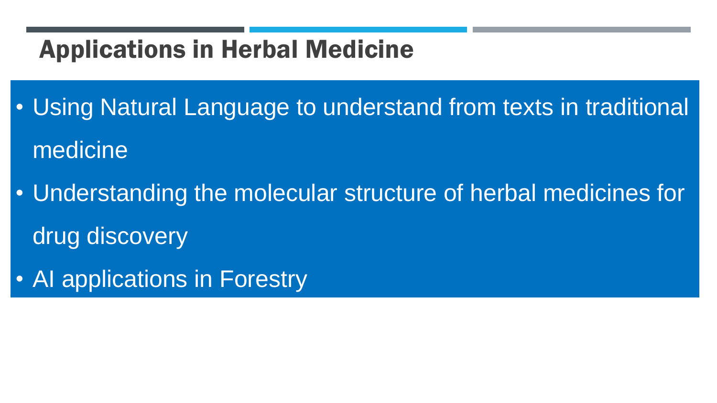### Applications in Herbal Medicine

• Using Natural Language to understand from texts in traditional medicine

• Understanding the molecular structure of herbal medicines for drug discovery

• AI applications in Forestry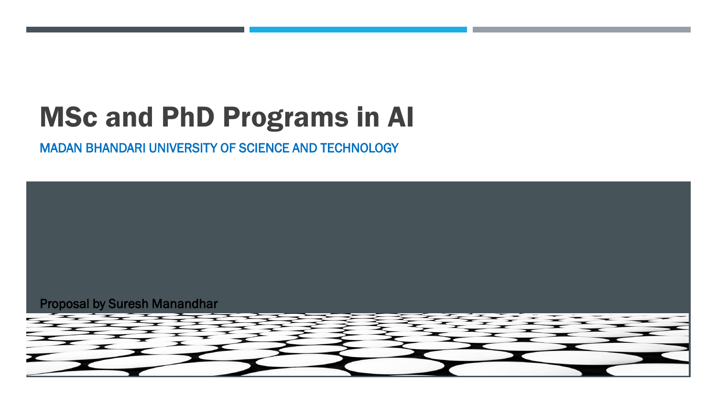# MSc and PhD Programs in AI

MADAN BHANDARI UNIVERSITY OF SCIENCE AND TECHNOLOGY

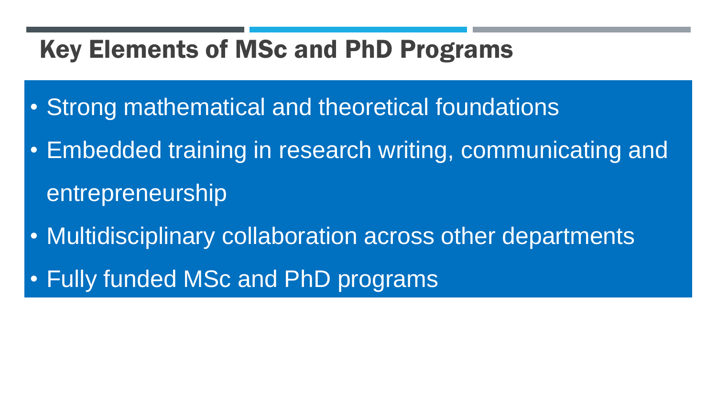### Key Elements of MSc and PhD Programs

- Strong mathematical and theoretical foundations
- Embedded training in research writing, communicating and entrepreneurship
- Multidisciplinary collaboration across other departments
- Fully funded MSc and PhD programs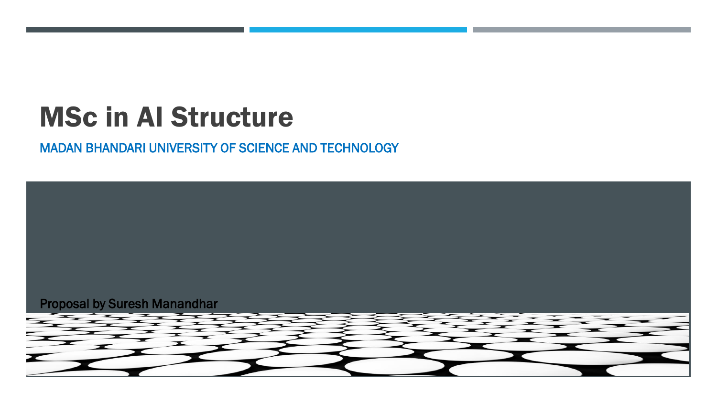# MSc in AI Structure

#### MADAN BHANDARI UNIVERSITY OF SCIENCE AND TECHNOLOGY

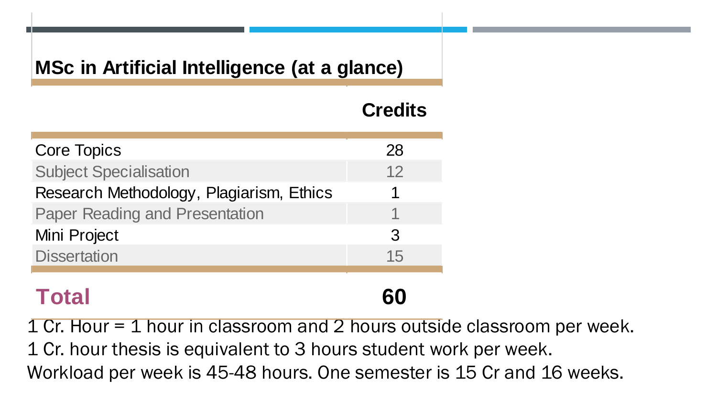### **MSc in Artificial Intelligence (at a glance)**

|                                                                         | <b>Credits</b> |
|-------------------------------------------------------------------------|----------------|
| <b>Core Topics</b>                                                      | 28             |
| <b>Subject Specialisation</b>                                           | 12             |
| Research Methodology, Plagiarism, Ethics                                |                |
| <b>Paper Reading and Presentation</b>                                   |                |
| Mini Project                                                            | 3              |
| <b>Dissertation</b>                                                     | 15             |
| <b>Total</b>                                                            | 60             |
| 1 Cr. Hour = 1 hour in classroom and 2 hours outside classroom per week |                |
| 1 Cr. hour thesis is equivalent to 3 hours student work per week.       |                |
| Workload per week is 45-48 hours. One semester is 15 Cr and 16 weeks.   |                |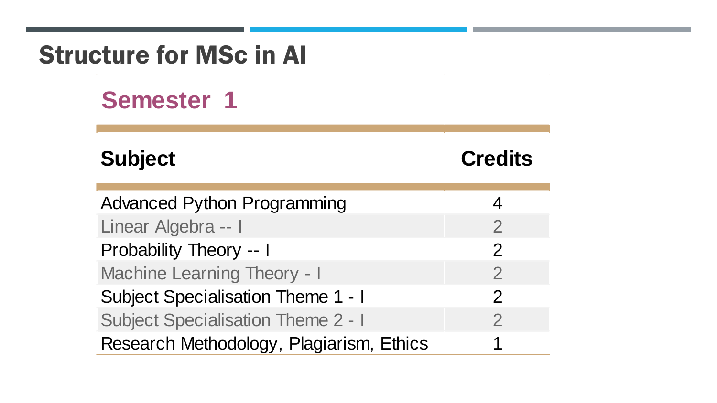| <b>Structure for MSc in Al</b>            |                |  |  |  |
|-------------------------------------------|----------------|--|--|--|
| <b>Semester 1</b>                         |                |  |  |  |
| <b>Subject</b>                            | <b>Credits</b> |  |  |  |
| <b>Advanced Python Programming</b>        | 4              |  |  |  |
| Linear Algebra -- I                       | $\overline{2}$ |  |  |  |
| <b>Probability Theory -- I</b>            | $\overline{2}$ |  |  |  |
| <b>Machine Learning Theory - I</b>        | $\overline{2}$ |  |  |  |
| <b>Subject Specialisation Theme 1 - I</b> | $\overline{2}$ |  |  |  |
| <b>Subject Specialisation Theme 2 - I</b> | $\overline{2}$ |  |  |  |
| Research Methodology, Plagiarism, Ethics  | 1              |  |  |  |

 $\sim$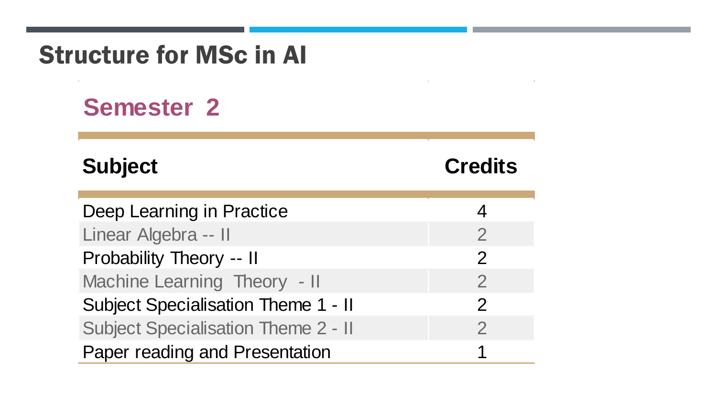### **Semester 2**

 $\sim 10^{-1}$ 

### **Subject Credits**

 $\sim$ 

| Deep Learning in Practice                  |                |
|--------------------------------------------|----------------|
| Linear Algebra -- II                       | $\mathcal P$   |
| Probability Theory -- II                   | $\mathcal{P}$  |
| Machine Learning Theory - II               | $\overline{2}$ |
| Subject Specialisation Theme 1 - II        | $\mathcal{P}$  |
| <b>Subject Specialisation Theme 2 - II</b> | $\mathcal{P}$  |
| Paper reading and Presentation             |                |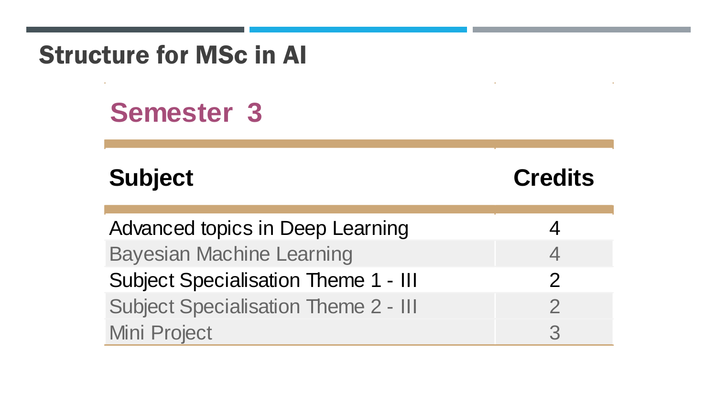### Structure for MSc in AI

# **Semester 3**

### **Subject Credits**

| Advanced topics in Deep Learning            |   |
|---------------------------------------------|---|
| <b>Bayesian Machine Learning</b>            |   |
| <b>Subject Specialisation Theme 1 - III</b> |   |
| <b>Subject Specialisation Theme 2 - III</b> | 2 |
| Mini Project                                | 2 |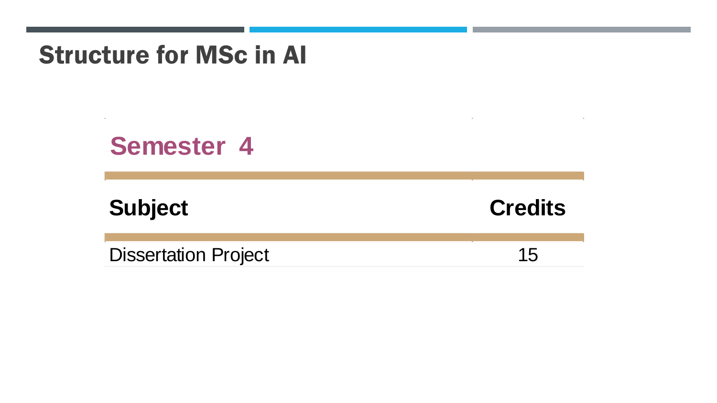### Structure for MSc in AI

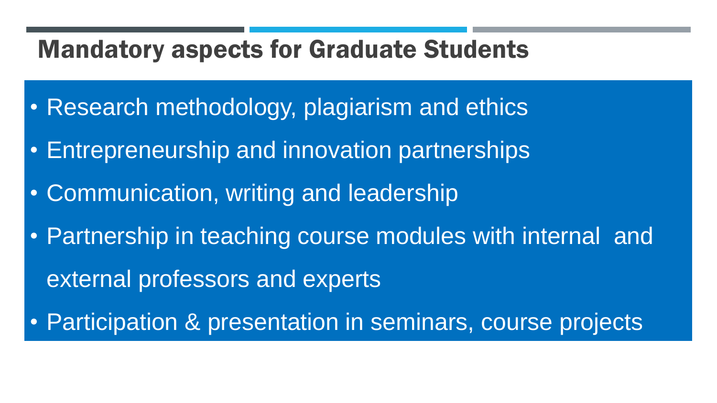### Mandatory aspects for Graduate Students

- Research methodology, plagiarism and ethics
- Entrepreneurship and innovation partnerships
- Communication, writing and leadership
- Partnership in teaching course modules with internal and external professors and experts
- Participation & presentation in seminars, course projects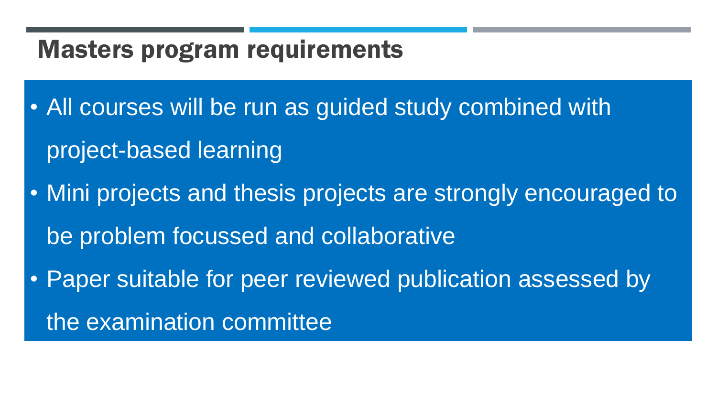### Masters program requirements

- All courses will be run as guided study combined with project-based learning
- Mini projects and thesis projects are strongly encouraged to be problem focussed and collaborative
- Paper suitable for peer reviewed publication assessed by the examination committee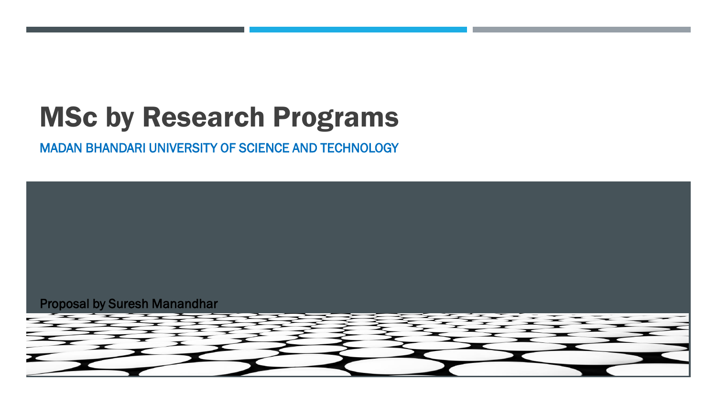# MSc by Research Programs

MADAN BHANDARI UNIVERSITY OF SCIENCE AND TECHNOLOGY

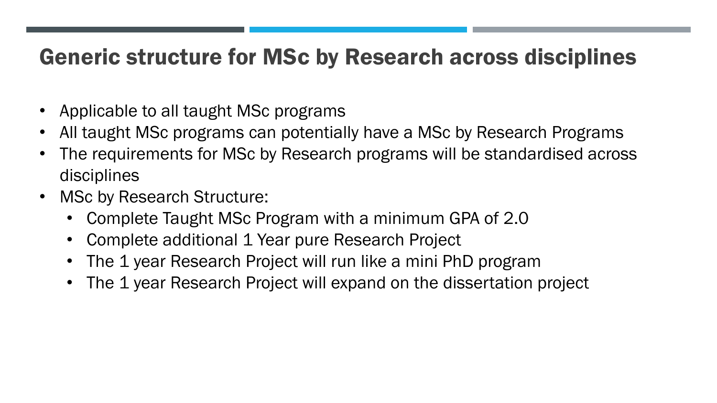### Generic structure for MSc by Research across disciplines

- Applicable to all taught MSc programs
- All taught MSc programs can potentially have a MSc by Research Programs
- The requirements for MSc by Research programs will be standardised across disciplines
- MSc by Research Structure:
	- Complete Taught MSc Program with a minimum GPA of 2.0
	- Complete additional 1 Year pure Research Project
	- The 1 year Research Project will run like a mini PhD program
	- The 1 year Research Project will expand on the dissertation project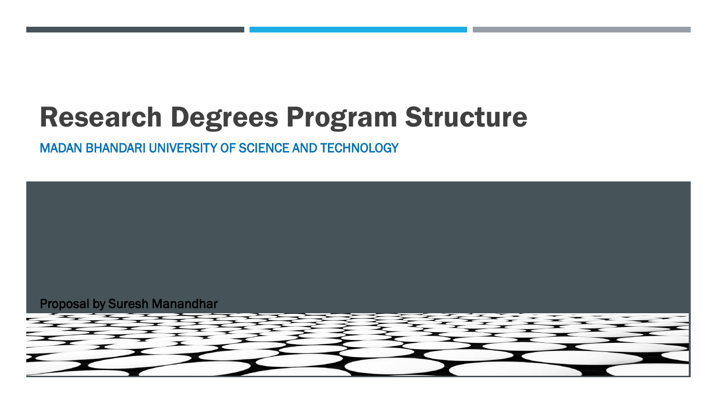# Research Degrees Program Structure

MADAN BHANDARI UNIVERSITY OF SCIENCE AND TECHNOLOGY

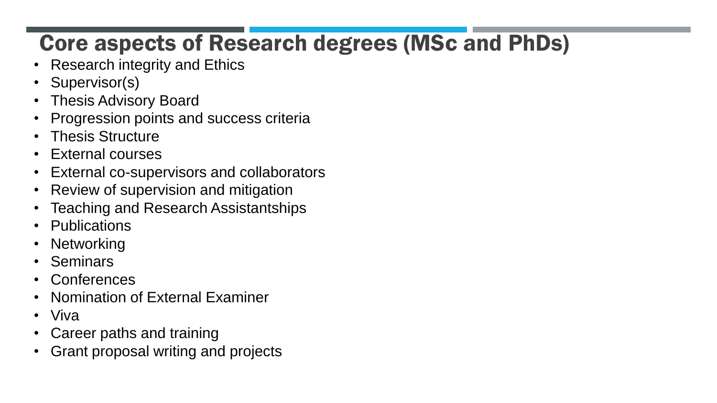### Core aspects of Research degrees (MSc and PhDs)

- Research integrity and Ethics
- Supervisor(s)
- Thesis Advisory Board
- Progression points and success criteria
- Thesis Structure
- External courses
- External co-supervisors and collaborators
- Review of supervision and mitigation
- Teaching and Research Assistantships
- Publications
- Networking
- Seminars
- Conferences
- Nomination of External Examiner
- Viva
- Career paths and training
- Grant proposal writing and projects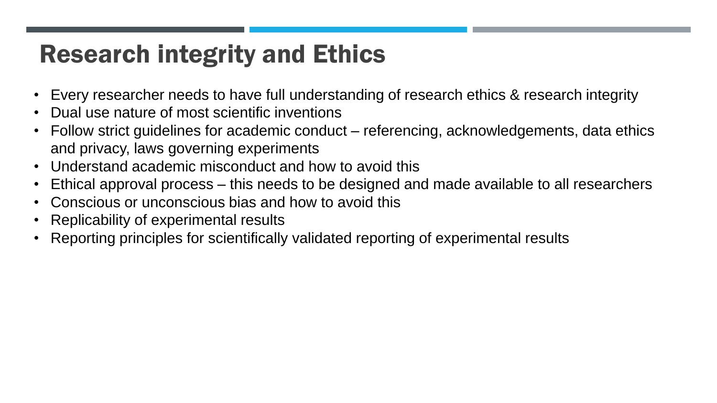# Research integrity and Ethics

- Every researcher needs to have full understanding of research ethics & research integrity
- Dual use nature of most scientific inventions
- Follow strict guidelines for academic conduct referencing, acknowledgements, data ethics and privacy, laws governing experiments
- Understand academic misconduct and how to avoid this
- Ethical approval process this needs to be designed and made available to all researchers
- Conscious or unconscious bias and how to avoid this
- Replicability of experimental results
- Reporting principles for scientifically validated reporting of experimental results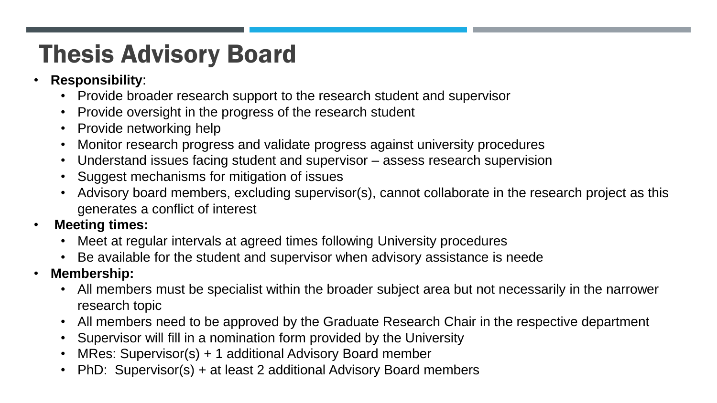# Thesis Advisory Board

- **Responsibility**:
	- Provide broader research support to the research student and supervisor
	- Provide oversight in the progress of the research student
	- Provide networking help
	- Monitor research progress and validate progress against university procedures
	- Understand issues facing student and supervisor assess research supervision
	- Suggest mechanisms for mitigation of issues
	- Advisory board members, excluding supervisor(s), cannot collaborate in the research project as this generates a conflict of interest
- **Meeting times:**
	- Meet at regular intervals at agreed times following University procedures
	- Be available for the student and supervisor when advisory assistance is neede
- **Membership:**
	- All members must be specialist within the broader subject area but not necessarily in the narrower research topic
	- All members need to be approved by the Graduate Research Chair in the respective department
	- Supervisor will fill in a nomination form provided by the University
	- MRes: Supervisor(s) + 1 additional Advisory Board member
	- PhD: Supervisor(s) + at least 2 additional Advisory Board members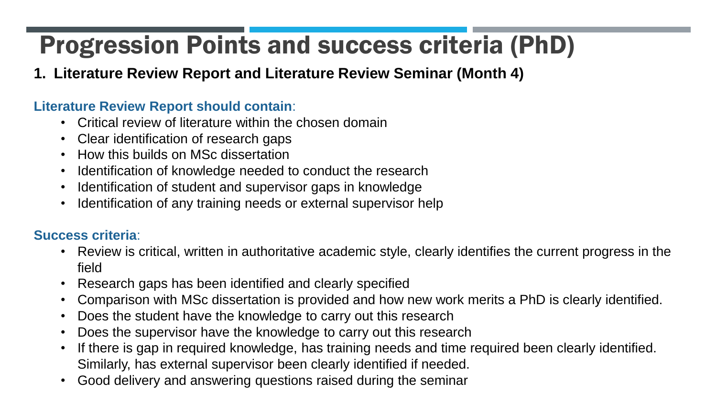#### **1. Literature Review Report and Literature Review Seminar (Month 4)**

#### **Literature Review Report should contain**:

- Critical review of literature within the chosen domain
- Clear identification of research gaps
- How this builds on MSc dissertation
- Identification of knowledge needed to conduct the research
- Identification of student and supervisor gaps in knowledge
- Identification of any training needs or external supervisor help

- Review is critical, written in authoritative academic style, clearly identifies the current progress in the field
- Research gaps has been identified and clearly specified
- Comparison with MSc dissertation is provided and how new work merits a PhD is clearly identified.
- Does the student have the knowledge to carry out this research
- Does the supervisor have the knowledge to carry out this research
- If there is gap in required knowledge, has training needs and time required been clearly identified. Similarly, has external supervisor been clearly identified if needed.
- Good delivery and answering questions raised during the seminar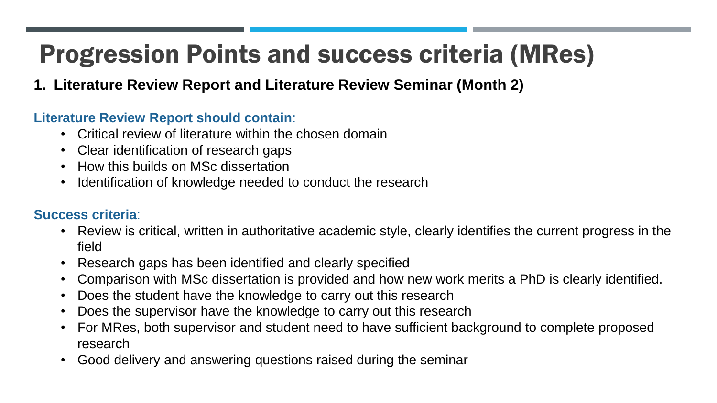### **1. Literature Review Report and Literature Review Seminar (Month 2)**

#### **Literature Review Report should contain**:

- Critical review of literature within the chosen domain
- Clear identification of research gaps
- How this builds on MSc dissertation
- Identification of knowledge needed to conduct the research

- Review is critical, written in authoritative academic style, clearly identifies the current progress in the field
- Research gaps has been identified and clearly specified
- Comparison with MSc dissertation is provided and how new work merits a PhD is clearly identified.
- Does the student have the knowledge to carry out this research
- Does the supervisor have the knowledge to carry out this research
- For MRes, both supervisor and student need to have sufficient background to complete proposed research
- Good delivery and answering questions raised during the seminar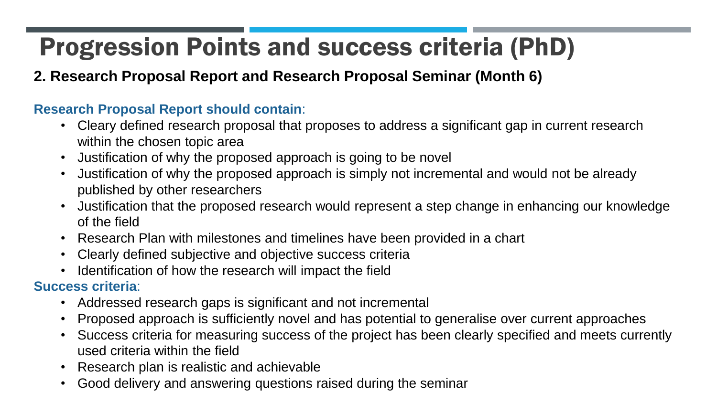### **2. Research Proposal Report and Research Proposal Seminar (Month 6)**

#### **Research Proposal Report should contain**:

- Cleary defined research proposal that proposes to address a significant gap in current research within the chosen topic area
- Justification of why the proposed approach is going to be novel
- Justification of why the proposed approach is simply not incremental and would not be already published by other researchers
- Justification that the proposed research would represent a step change in enhancing our knowledge of the field
- Research Plan with milestones and timelines have been provided in a chart
- Clearly defined subjective and objective success criteria
- Identification of how the research will impact the field

- Addressed research gaps is significant and not incremental
- Proposed approach is sufficiently novel and has potential to generalise over current approaches
- Success criteria for measuring success of the project has been clearly specified and meets currently used criteria within the field
- Research plan is realistic and achievable
- Good delivery and answering questions raised during the seminar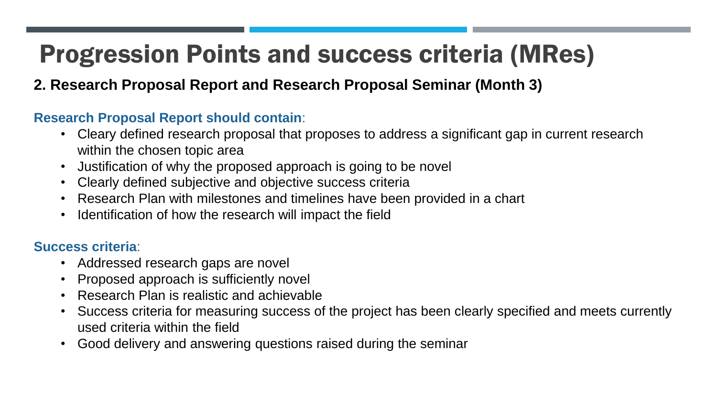#### **2. Research Proposal Report and Research Proposal Seminar (Month 3)**

#### **Research Proposal Report should contain**:

- Cleary defined research proposal that proposes to address a significant gap in current research within the chosen topic area
- Justification of why the proposed approach is going to be novel
- Clearly defined subjective and objective success criteria
- Research Plan with milestones and timelines have been provided in a chart
- Identification of how the research will impact the field

- Addressed research gaps are novel
- Proposed approach is sufficiently novel
- Research Plan is realistic and achievable
- Success criteria for measuring success of the project has been clearly specified and meets currently used criteria within the field
- Good delivery and answering questions raised during the seminar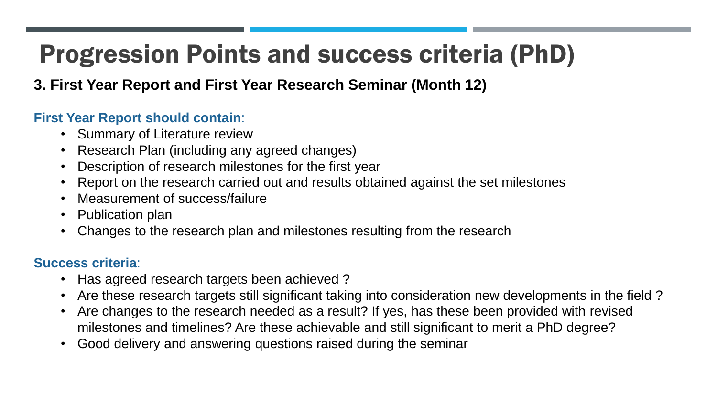### **3. First Year Report and First Year Research Seminar (Month 12)**

#### **First Year Report should contain**:

- Summary of Literature review
- Research Plan (including any agreed changes)
- Description of research milestones for the first year
- Report on the research carried out and results obtained against the set milestones
- Measurement of success/failure
- Publication plan
- Changes to the research plan and milestones resulting from the research

- Has agreed research targets been achieved?
- Are these research targets still significant taking into consideration new developments in the field ?
- Are changes to the research needed as a result? If yes, has these been provided with revised milestones and timelines? Are these achievable and still significant to merit a PhD degree?
- Good delivery and answering questions raised during the seminar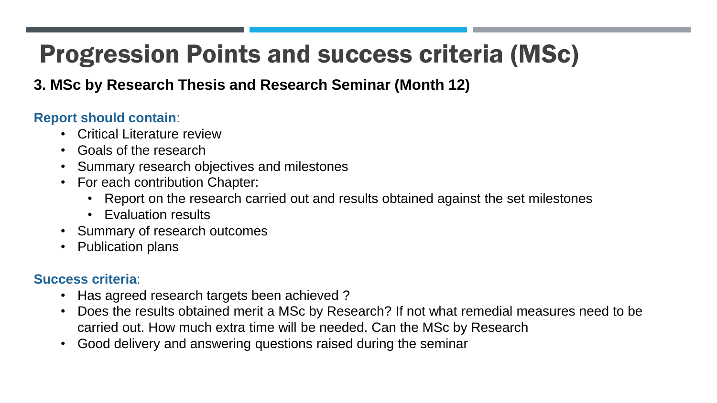#### **3. MSc by Research Thesis and Research Seminar (Month 12)**

#### **Report should contain**:

- Critical Literature review
- Goals of the research
- Summary research objectives and milestones
- For each contribution Chapter:
	- Report on the research carried out and results obtained against the set milestones
	- Evaluation results
- Summary of research outcomes
- Publication plans

- Has agreed research targets been achieved?
- Does the results obtained merit a MSc by Research? If not what remedial measures need to be carried out. How much extra time will be needed. Can the MSc by Research
- Good delivery and answering questions raised during the seminar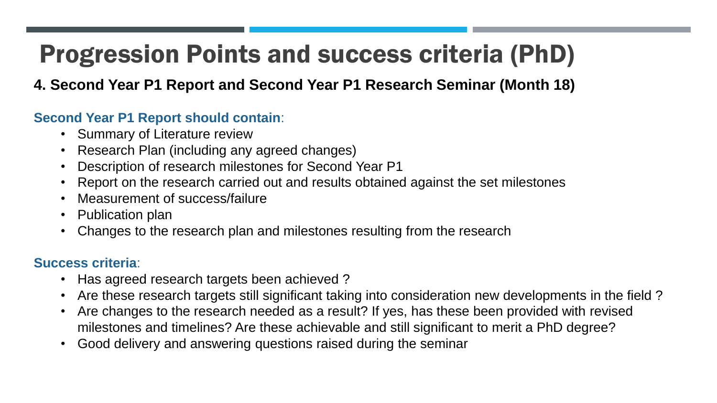### **4. Second Year P1 Report and Second Year P1 Research Seminar (Month 18)**

#### **Second Year P1 Report should contain**:

- Summary of Literature review
- Research Plan (including any agreed changes)
- Description of research milestones for Second Year P1
- Report on the research carried out and results obtained against the set milestones
- Measurement of success/failure
- Publication plan
- Changes to the research plan and milestones resulting from the research

- Has agreed research targets been achieved?
- Are these research targets still significant taking into consideration new developments in the field ?
- Are changes to the research needed as a result? If yes, has these been provided with revised milestones and timelines? Are these achievable and still significant to merit a PhD degree?
- Good delivery and answering questions raised during the seminar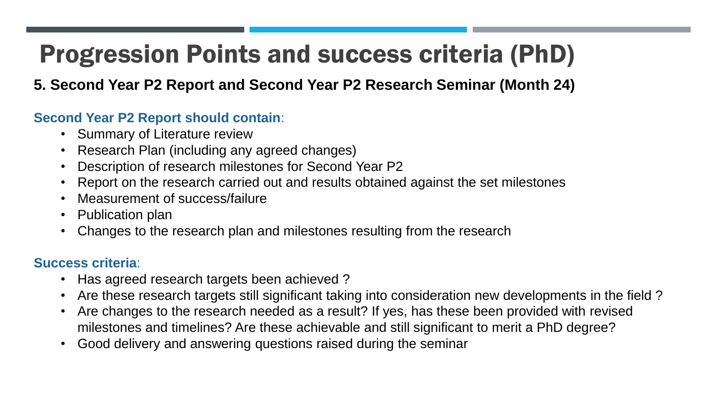#### **5. Second Year P2 Report and Second Year P2 Research Seminar (Month 24)**

#### **Second Year P2 Report should contain**:

- Summary of Literature review
- Research Plan (including any agreed changes)
- Description of research milestones for Second Year P2
- Report on the research carried out and results obtained against the set milestones
- Measurement of success/failure
- Publication plan
- Changes to the research plan and milestones resulting from the research

- Has agreed research targets been achieved?
- Are these research targets still significant taking into consideration new developments in the field ?
- Are changes to the research needed as a result? If yes, has these been provided with revised milestones and timelines? Are these achievable and still significant to merit a PhD degree?
- Good delivery and answering questions raised during the seminar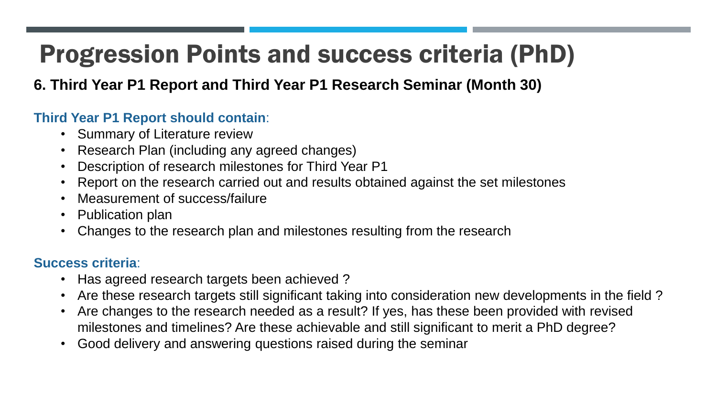#### **6. Third Year P1 Report and Third Year P1 Research Seminar (Month 30)**

#### **Third Year P1 Report should contain**:

- Summary of Literature review
- Research Plan (including any agreed changes)
- Description of research milestones for Third Year P1
- Report on the research carried out and results obtained against the set milestones
- Measurement of success/failure
- Publication plan
- Changes to the research plan and milestones resulting from the research

- Has agreed research targets been achieved?
- Are these research targets still significant taking into consideration new developments in the field ?
- Are changes to the research needed as a result? If yes, has these been provided with revised milestones and timelines? Are these achievable and still significant to merit a PhD degree?
- Good delivery and answering questions raised during the seminar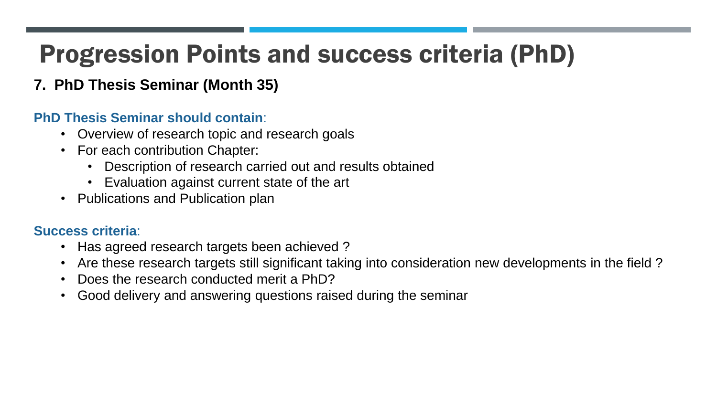### **7. PhD Thesis Seminar (Month 35)**

#### **PhD Thesis Seminar should contain**:

- Overview of research topic and research goals
- For each contribution Chapter:
	- Description of research carried out and results obtained
	- Evaluation against current state of the art
- Publications and Publication plan

- Has agreed research targets been achieved ?
- Are these research targets still significant taking into consideration new developments in the field ?
- Does the research conducted merit a PhD?
- Good delivery and answering questions raised during the seminar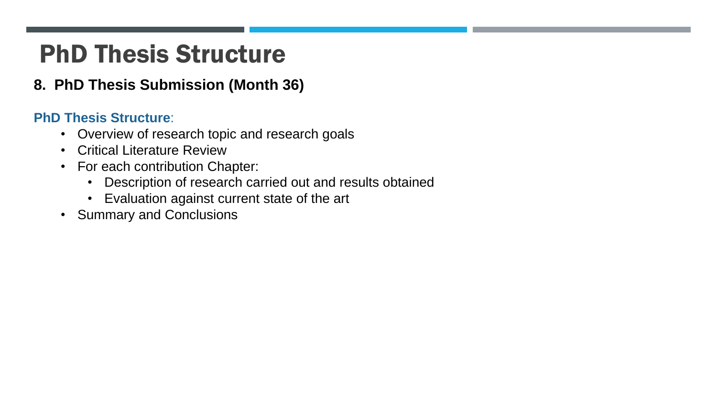### PhD Thesis Structure

#### **8. PhD Thesis Submission (Month 36)**

#### **PhD Thesis Structure**:

- Overview of research topic and research goals
- Critical Literature Review
- For each contribution Chapter:
	- Description of research carried out and results obtained
	- Evaluation against current state of the art
- Summary and Conclusions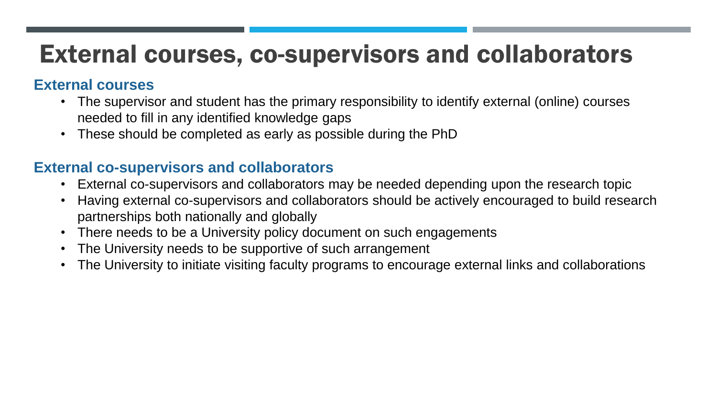### External courses, co-supervisors and collaborators

#### **External courses**

- The supervisor and student has the primary responsibility to identify external (online) courses needed to fill in any identified knowledge gaps
- These should be completed as early as possible during the PhD

#### **External co-supervisors and collaborators**

- External co-supervisors and collaborators may be needed depending upon the research topic
- Having external co-supervisors and collaborators should be actively encouraged to build research partnerships both nationally and globally
- There needs to be a University policy document on such engagements
- The University needs to be supportive of such arrangement
- The University to initiate visiting faculty programs to encourage external links and collaborations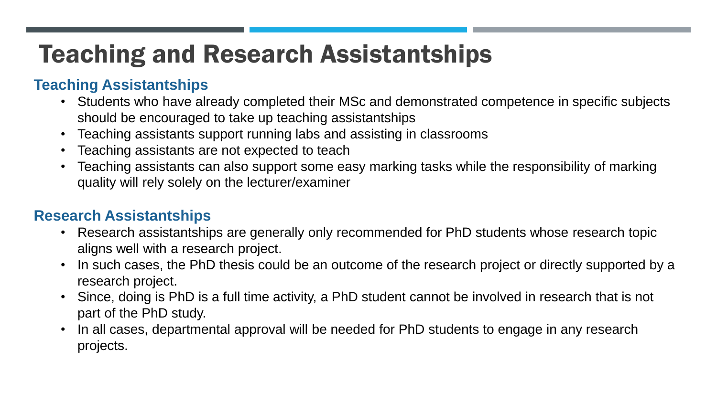## Teaching and Research Assistantships

#### **Teaching Assistantships**

- Students who have already completed their MSc and demonstrated competence in specific subjects should be encouraged to take up teaching assistantships
- Teaching assistants support running labs and assisting in classrooms
- Teaching assistants are not expected to teach
- Teaching assistants can also support some easy marking tasks while the responsibility of marking quality will rely solely on the lecturer/examiner

#### **Research Assistantships**

- Research assistantships are generally only recommended for PhD students whose research topic aligns well with a research project.
- In such cases, the PhD thesis could be an outcome of the research project or directly supported by a research project.
- Since, doing is PhD is a full time activity, a PhD student cannot be involved in research that is not part of the PhD study.
- In all cases, departmental approval will be needed for PhD students to engage in any research projects.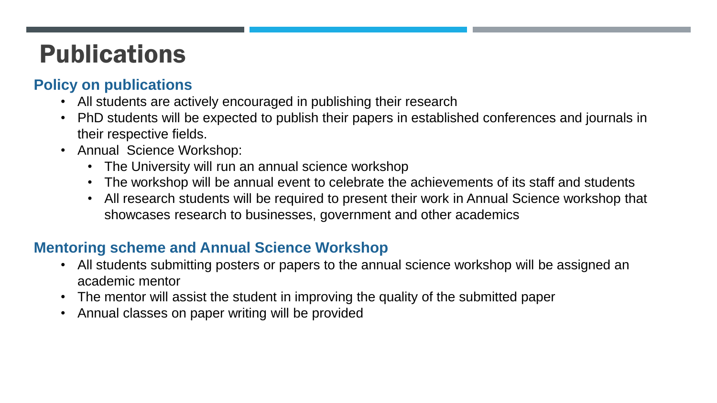## Publications

#### **Policy on publications**

- All students are actively encouraged in publishing their research
- PhD students will be expected to publish their papers in established conferences and journals in their respective fields.
- Annual Science Workshop:
	- The University will run an annual science workshop
	- The workshop will be annual event to celebrate the achievements of its staff and students
	- All research students will be required to present their work in Annual Science workshop that showcases research to businesses, government and other academics

#### **Mentoring scheme and Annual Science Workshop**

- All students submitting posters or papers to the annual science workshop will be assigned an academic mentor
- The mentor will assist the student in improving the quality of the submitted paper
- Annual classes on paper writing will be provided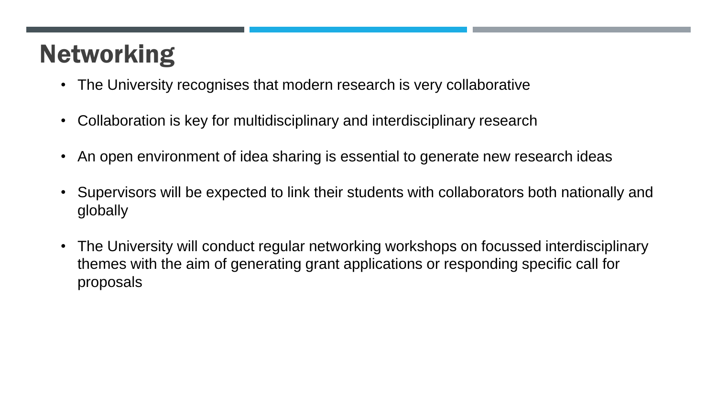# Networking

- The University recognises that modern research is very collaborative
- Collaboration is key for multidisciplinary and interdisciplinary research
- An open environment of idea sharing is essential to generate new research ideas
- Supervisors will be expected to link their students with collaborators both nationally and globally
- The University will conduct regular networking workshops on focussed interdisciplinary themes with the aim of generating grant applications or responding specific call for proposals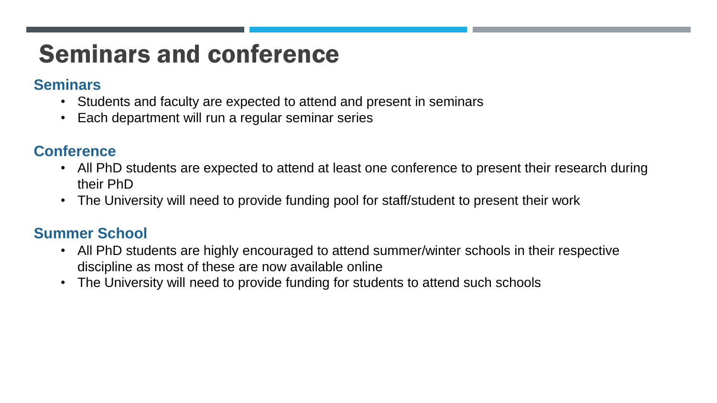### Seminars and conference

#### **Seminars**

- Students and faculty are expected to attend and present in seminars
- Each department will run a regular seminar series

#### **Conference**

- All PhD students are expected to attend at least one conference to present their research during their PhD
- The University will need to provide funding pool for staff/student to present their work

#### **Summer School**

- All PhD students are highly encouraged to attend summer/winter schools in their respective discipline as most of these are now available online
- The University will need to provide funding for students to attend such schools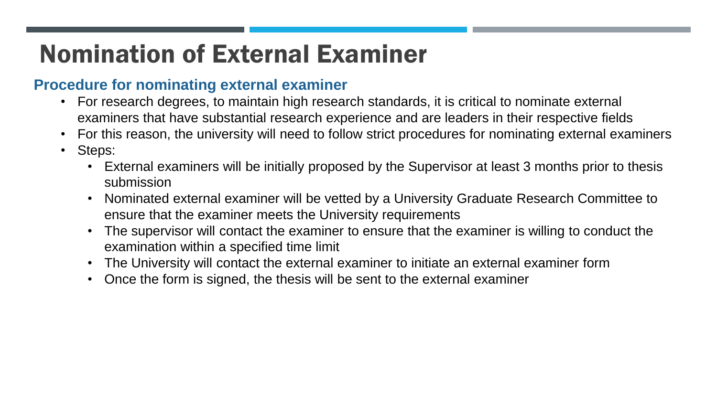# Nomination of External Examiner

#### **Procedure for nominating external examiner**

- For research degrees, to maintain high research standards, it is critical to nominate external examiners that have substantial research experience and are leaders in their respective fields
- For this reason, the university will need to follow strict procedures for nominating external examiners
- Steps:
	- External examiners will be initially proposed by the Supervisor at least 3 months prior to thesis submission
	- Nominated external examiner will be vetted by a University Graduate Research Committee to ensure that the examiner meets the University requirements
	- The supervisor will contact the examiner to ensure that the examiner is willing to conduct the examination within a specified time limit
	- The University will contact the external examiner to initiate an external examiner form
	- Once the form is signed, the thesis will be sent to the external examiner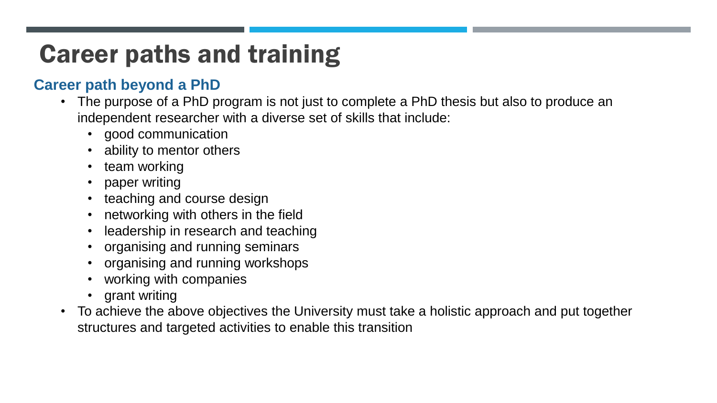# Career paths and training

#### **Career path beyond a PhD**

- The purpose of a PhD program is not just to complete a PhD thesis but also to produce an independent researcher with a diverse set of skills that include:
	- good communication
	- ability to mentor others
	- team working
	- paper writing
	- teaching and course design
	- networking with others in the field
	- leadership in research and teaching
	- organising and running seminars
	- organising and running workshops
	- working with companies
	- grant writing
- To achieve the above objectives the University must take a holistic approach and put together structures and targeted activities to enable this transition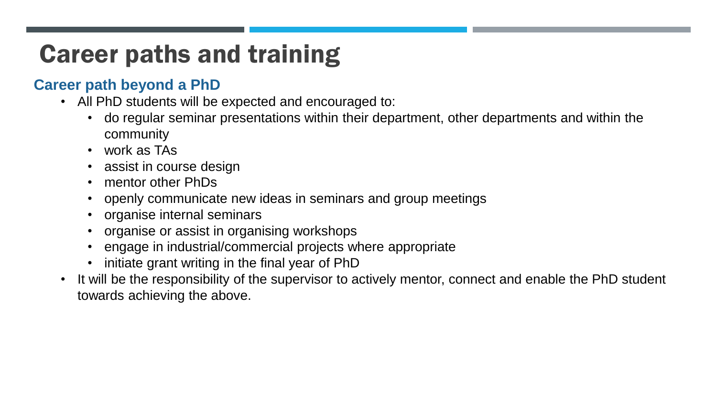# Career paths and training

#### **Career path beyond a PhD**

- All PhD students will be expected and encouraged to:
	- do regular seminar presentations within their department, other departments and within the community
	- work as TAs
	- assist in course design
	- mentor other PhDs
	- openly communicate new ideas in seminars and group meetings
	- organise internal seminars
	- organise or assist in organising workshops
	- engage in industrial/commercial projects where appropriate
	- initiate grant writing in the final year of PhD
- It will be the responsibility of the supervisor to actively mentor, connect and enable the PhD student towards achieving the above.